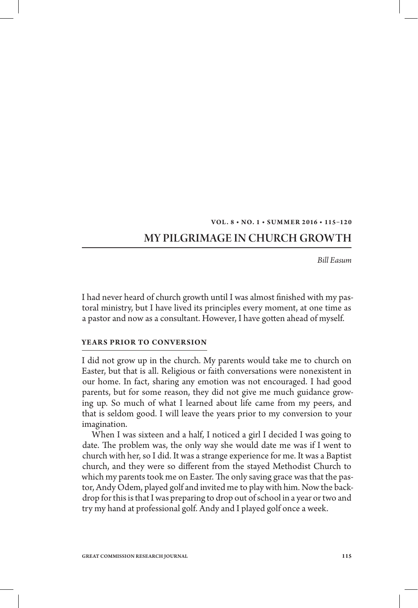#### VOL. 8 · NO. 1 · SUMMER 2016 · 115-120

# My Pilgrimage in Church Growth

*Bill Easum*

I had never heard of church growth until I was almost finished with my pastoral ministry, but I have lived its principles every moment, at one time as a pastor and now as a consultant. However, I have gotten ahead of myself.

#### **Years Prior to Conversion**

I did not grow up in the church. My parents would take me to church on Easter, but that is all. Religious or faith conversations were nonexistent in our home. In fact, sharing any emotion was not encouraged. I had good parents, but for some reason, they did not give me much guidance growing up. So much of what I learned about life came from my peers, and that is seldom good. I will leave the years prior to my conversion to your imagination.

When I was sixteen and a half, I noticed a girl I decided I was going to date. The problem was, the only way she would date me was if I went to church with her, so I did. It was a strange experience for me. It was a Baptist church, and they were so different from the stayed Methodist Church to which my parents took me on Easter. The only saving grace was that the pastor, Andy Odem, played golf and invited me to play with him. Now the backdrop for this is that I was preparing to drop out of school in a year or two and try my hand at professional golf. Andy and I played golf once a week.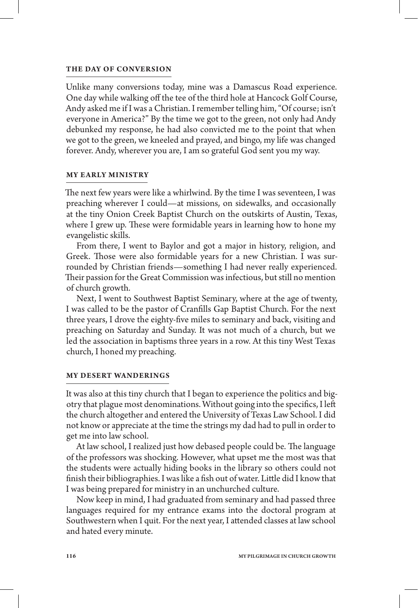#### **The Day of Conversion**

Unlike many conversions today, mine was a Damascus Road experience. One day while walking off the tee of the third hole at Hancock Golf Course, Andy asked me if I was a Christian. I remember telling him, "Of course; isn't everyone in America?" By the time we got to the green, not only had Andy debunked my response, he had also convicted me to the point that when we got to the green, we kneeled and prayed, and bingo, my life was changed forever. Andy, wherever you are, I am so grateful God sent you my way.

# **My Early Ministry**

The next few years were like a whirlwind. By the time I was seventeen, I was preaching wherever I could—at missions, on sidewalks, and occasionally at the tiny Onion Creek Baptist Church on the outskirts of Austin, Texas, where I grew up. These were formidable years in learning how to hone my evangelistic skills.

From there, I went to Baylor and got a major in history, religion, and Greek. Those were also formidable years for a new Christian. I was surrounded by Christian friends—something I had never really experienced. Their passion for the Great Commission was infectious, but still no mention of church growth.

Next, I went to Southwest Baptist Seminary, where at the age of twenty, I was called to be the pastor of Cranfills Gap Baptist Church. For the next three years, I drove the eighty-five miles to seminary and back, visiting and preaching on Saturday and Sunday. It was not much of a church, but we led the association in baptisms three years in a row. At this tiny West Texas church, I honed my preaching.

## **My Desert Wanderings**

It was also at this tiny church that I began to experience the politics and bigotry that plague most denominations. Without going into the specifics, I left the church altogether and entered the University of Texas Law School. I did not know or appreciate at the time the strings my dad had to pull in order to get me into law school.

At law school, I realized just how debased people could be. The language of the professors was shocking. However, what upset me the most was that the students were actually hiding books in the library so others could not finish their bibliographies. I was like a fish out of water. Little did I know that I was being prepared for ministry in an unchurched culture.

Now keep in mind, I had graduated from seminary and had passed three languages required for my entrance exams into the doctoral program at Southwestern when I quit. For the next year, I attended classes at law school and hated every minute.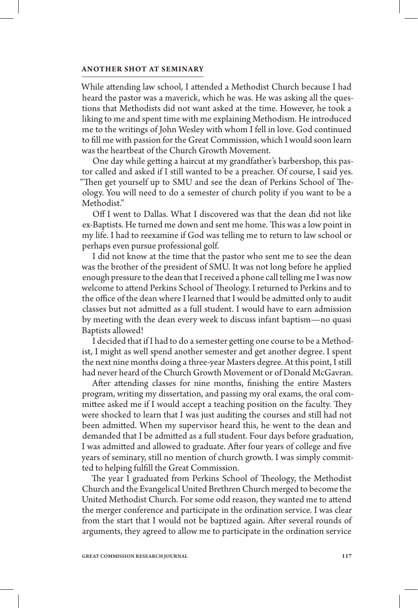#### **Another Shot at Seminary**

While attending law school, I attended a Methodist Church because I had heard the pastor was a maverick, which he was. He was asking all the questions that Methodists did not want asked at the time. However, he took a liking to me and spent time with me explaining Methodism. He introduced me to the writings of John Wesley with whom I fell in love. God continued to fill me with passion for the Great Commission, which I would soon learn was the heartbeat of the Church Growth Movement.

One day while getting a haircut at my grandfather's barbershop, this pastor called and asked if I still wanted to be a preacher. Of course, I said yes. "Then get yourself up to SMU and see the dean of Perkins School of Theology. You will need to do a semester of church polity if you want to be a Methodist."

Off I went to Dallas. What I discovered was that the dean did not like ex-Baptists. He turned me down and sent me home. This was a low point in my life. I had to reexamine if God was telling me to return to law school or perhaps even pursue professional golf.

I did not know at the time that the pastor who sent me to see the dean was the brother of the president of SMU. It was not long before he applied enough pressure to the dean that I received a phone call telling me I was now welcome to attend Perkins School of Theology. I returned to Perkins and to the office of the dean where I learned that I would be admitted only to audit classes but not admitted as a full student. I would have to earn admission by meeting with the dean every week to discuss infant baptism—no quasi Baptists allowed!

I decided that if I had to do a semester getting one course to be a Methodist, I might as well spend another semester and get another degree. I spent the next nine months doing a three-year Masters degree. At this point, I still had never heard of the Church Growth Movement or of Donald McGavran.

After attending classes for nine months, finishing the entire Masters program, writing my dissertation, and passing my oral exams, the oral committee asked me if I would accept a teaching position on the faculty. They were shocked to learn that I was just auditing the courses and still had not been admitted. When my supervisor heard this, he went to the dean and demanded that I be admitted as a full student. Four days before graduation, I was admitted and allowed to graduate. After four years of college and five years of seminary, still no mention of church growth. I was simply committed to helping fulfill the Great Commission.

The year I graduated from Perkins School of Theology, the Methodist Church and the Evangelical United Brethren Church merged to become the United Methodist Church. For some odd reason, they wanted me to attend the merger conference and participate in the ordination service. I was clear from the start that I would not be baptized again. After several rounds of arguments, they agreed to allow me to participate in the ordination service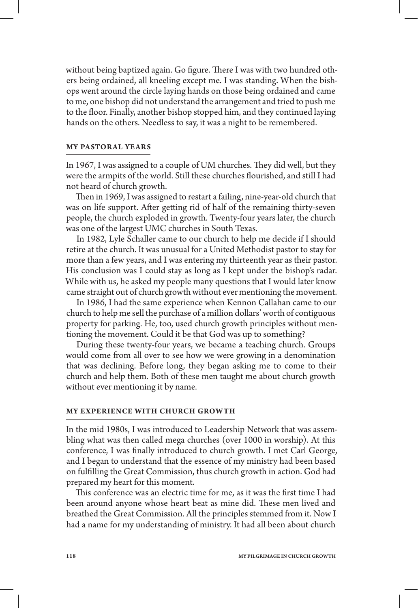without being baptized again. Go figure. There I was with two hundred others being ordained, all kneeling except me. I was standing. When the bishops went around the circle laying hands on those being ordained and came to me, one bishop did not understand the arrangement and tried to push me to the floor. Finally, another bishop stopped him, and they continued laying hands on the others. Needless to say, it was a night to be remembered.

# **My Pastoral Years**

In 1967, I was assigned to a couple of UM churches. They did well, but they were the armpits of the world. Still these churches flourished, and still I had not heard of church growth.

Then in 1969, I was assigned to restart a failing, nine-year-old church that was on life support. After getting rid of half of the remaining thirty-seven people, the church exploded in growth. Twenty-four years later, the church was one of the largest UMC churches in South Texas.

In 1982, Lyle Schaller came to our church to help me decide if I should retire at the church. It was unusual for a United Methodist pastor to stay for more than a few years, and I was entering my thirteenth year as their pastor. His conclusion was I could stay as long as I kept under the bishop's radar. While with us, he asked my people many questions that I would later know came straight out of church growth without ever mentioning the movement.

In 1986, I had the same experience when Kennon Callahan came to our church to help me sell the purchase of a million dollars' worth of contiguous property for parking. He, too, used church growth principles without mentioning the movement. Could it be that God was up to something?

During these twenty-four years, we became a teaching church. Groups would come from all over to see how we were growing in a denomination that was declining. Before long, they began asking me to come to their church and help them. Both of these men taught me about church growth without ever mentioning it by name.

## **My Experience with Church Growth**

In the mid 1980s, I was introduced to Leadership Network that was assembling what was then called mega churches (over 1000 in worship). At this conference, I was finally introduced to church growth. I met Carl George, and I began to understand that the essence of my ministry had been based on fulfilling the Great Commission, thus church growth in action. God had prepared my heart for this moment.

This conference was an electric time for me, as it was the first time I had been around anyone whose heart beat as mine did. These men lived and breathed the Great Commission. All the principles stemmed from it. Now I had a name for my understanding of ministry. It had all been about church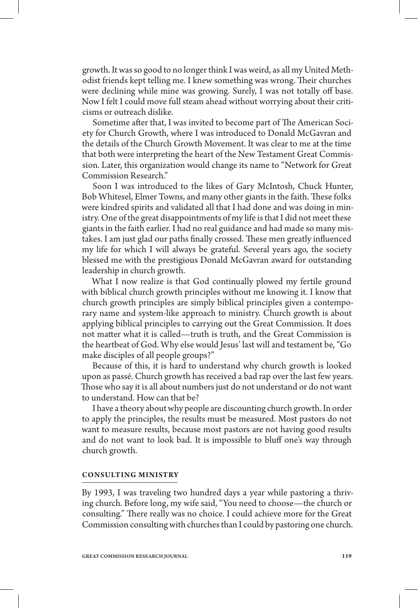growth. It was so good to no longer think I was weird, as all my United Methodist friends kept telling me. I knew something was wrong. Their churches were declining while mine was growing. Surely, I was not totally off base. Now I felt I could move full steam ahead without worrying about their criticisms or outreach dislike.

Sometime after that, I was invited to become part of The American Society for Church Growth, where I was introduced to Donald McGavran and the details of the Church Growth Movement. It was clear to me at the time that both were interpreting the heart of the New Testament Great Commission. Later, this organization would change its name to "Network for Great Commission Research."

Soon I was introduced to the likes of Gary McIntosh, Chuck Hunter, Bob Whitesel, Elmer Towns, and many other giants in the faith. These folks were kindred spirits and validated all that I had done and was doing in ministry. One of the great disappointments of my life is that I did not meet these giants in the faith earlier. I had no real guidance and had made so many mistakes. I am just glad our paths finally crossed. These men greatly influenced my life for which I will always be grateful. Several years ago, the society blessed me with the prestigious Donald McGavran award for outstanding leadership in church growth.

What I now realize is that God continually plowed my fertile ground with biblical church growth principles without me knowing it. I know that church growth principles are simply biblical principles given a contemporary name and system-like approach to ministry. Church growth is about applying biblical principles to carrying out the Great Commission. It does not matter what it is called—truth is truth, and the Great Commission is the heartbeat of God. Why else would Jesus' last will and testament be, "Go make disciples of all people groups?"

Because of this, it is hard to understand why church growth is looked upon as passé. Church growth has received a bad rap over the last few years. Those who say it is all about numbers just do not understand or do not want to understand. How can that be?

I have a theory about why people are discounting church growth. In order to apply the principles, the results must be measured. Most pastors do not want to measure results, because most pastors are not having good results and do not want to look bad. It is impossible to bluff one's way through church growth.

## **Consulting Ministry**

By 1993, I was traveling two hundred days a year while pastoring a thriving church. Before long, my wife said, "You need to choose—the church or consulting." There really was no choice. I could achieve more for the Great Commission consulting with churches than I could by pastoring one church.